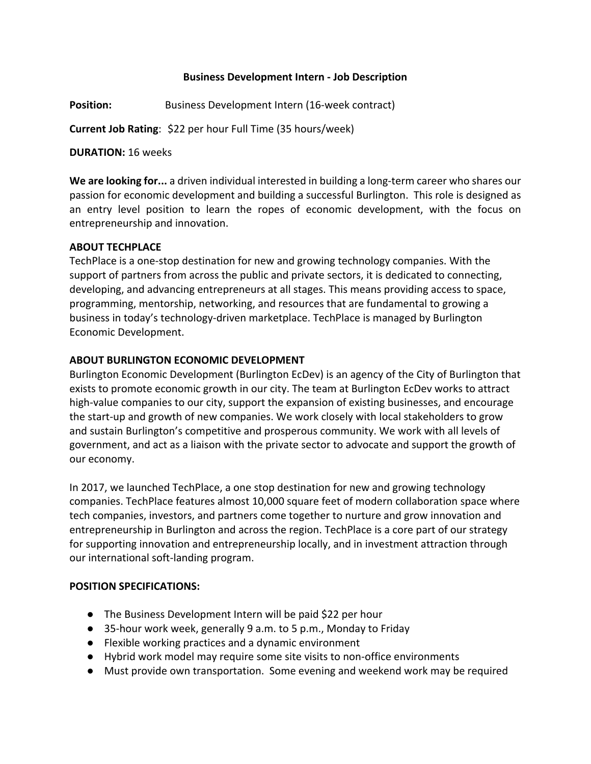### **Business Development Intern - Job Description**

**Position:** Business Development Intern (16-week contract)

**Current Job Rating**: \$22 per hour Full Time (35 hours/week)

#### **DURATION:** 16 weeks

**We are looking for...** a driven individual interested in building a long-term career who shares our passion for economic development and building a successful Burlington. This role is designed as an entry level position to learn the ropes of economic development, with the focus on entrepreneurship and innovation.

#### **ABOUT TECHPLACE**

TechPlace is a one-stop destination for new and growing technology companies. With the support of partners from across the public and private sectors, it is dedicated to connecting, developing, and advancing entrepreneurs at all stages. This means providing access to space, programming, mentorship, networking, and resources that are fundamental to growing a business in today's technology-driven marketplace. TechPlace is managed by Burlington Economic Development.

#### **ABOUT BURLINGTON ECONOMIC DEVELOPMENT**

Burlington Economic Development (Burlington EcDev) is an agency of the City of Burlington that exists to promote economic growth in our city. The team at Burlington EcDev works to attract high-value companies to our city, support the expansion of existing businesses, and encourage the start-up and growth of new companies. We work closely with local stakeholders to grow and sustain Burlington's competitive and prosperous community. We work with all levels of government, and act as a liaison with the private sector to advocate and support the growth of our economy.

In 2017, we launched TechPlace, a one stop destination for new and growing technology companies. TechPlace features almost 10,000 square feet of modern collaboration space where tech companies, investors, and partners come together to nurture and grow innovation and entrepreneurship in Burlington and across the region. TechPlace is a core part of our strategy for supporting innovation and entrepreneurship locally, and in investment attraction through our international soft-landing program.

#### **POSITION SPECIFICATIONS:**

- The Business Development Intern will be paid \$22 per hour
- 35-hour work week, generally 9 a.m. to 5 p.m., Monday to Friday
- Flexible working practices and a dynamic environment
- Hybrid work model may require some site visits to non-office environments
- Must provide own transportation. Some evening and weekend work may be required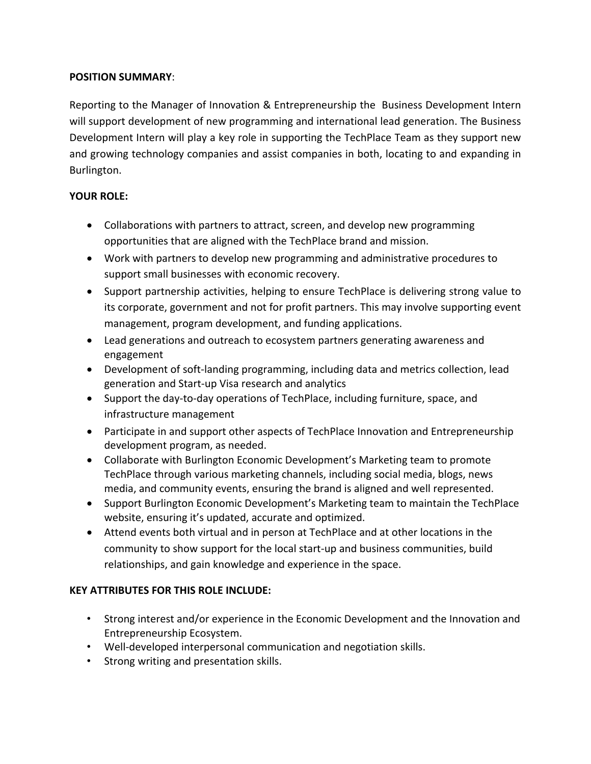## **POSITION SUMMARY**:

Reporting to the Manager of Innovation & Entrepreneurship the Business Development Intern will support development of new programming and international lead generation. The Business Development Intern will play a key role in supporting the TechPlace Team as they support new and growing technology companies and assist companies in both, locating to and expanding in Burlington.

## **YOUR ROLE:**

- Collaborations with partners to attract, screen, and develop new programming opportunities that are aligned with the TechPlace brand and mission.
- Work with partners to develop new programming and administrative procedures to support small businesses with economic recovery.
- Support partnership activities, helping to ensure TechPlace is delivering strong value to its corporate, government and not for profit partners. This may involve supporting event management, program development, and funding applications.
- Lead generations and outreach to ecosystem partners generating awareness and engagement
- Development of soft-landing programming, including data and metrics collection, lead generation and Start-up Visa research and analytics
- Support the day-to-day operations of TechPlace, including furniture, space, and infrastructure management
- Participate in and support other aspects of TechPlace Innovation and Entrepreneurship development program, as needed.
- Collaborate with Burlington Economic Development's Marketing team to promote TechPlace through various marketing channels, including social media, blogs, news media, and community events, ensuring the brand is aligned and well represented.
- Support Burlington Economic Development's Marketing team to maintain the TechPlace website, ensuring it's updated, accurate and optimized.
- Attend events both virtual and in person at TechPlace and at other locations in the community to show support for the local start-up and business communities, build relationships, and gain knowledge and experience in the space.

# **KEY ATTRIBUTES FOR THIS ROLE INCLUDE:**

- Strong interest and/or experience in the Economic Development and the Innovation and Entrepreneurship Ecosystem.
- Well-developed interpersonal communication and negotiation skills.
- Strong writing and presentation skills.